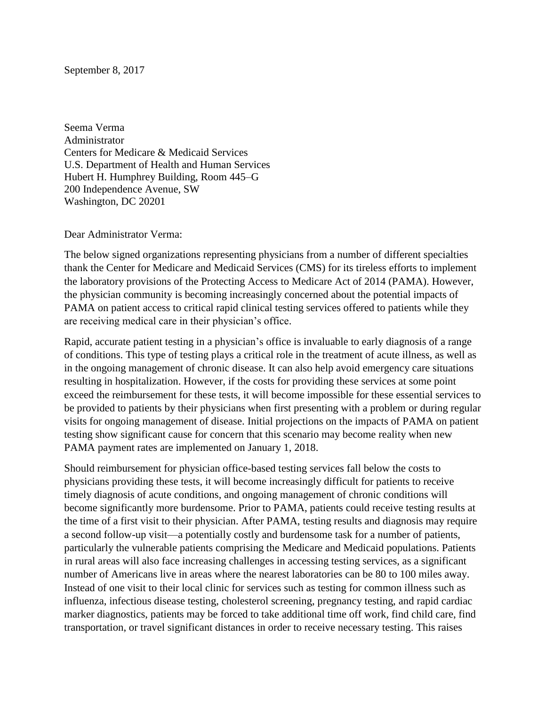Seema Verma Administrator Centers for Medicare & Medicaid Services U.S. Department of Health and Human Services Hubert H. Humphrey Building, Room 445–G 200 Independence Avenue, SW Washington, DC 20201

Dear Administrator Verma:

The below signed organizations representing physicians from a number of different specialties thank the Center for Medicare and Medicaid Services (CMS) for its tireless efforts to implement the laboratory provisions of the Protecting Access to Medicare Act of 2014 (PAMA). However, the physician community is becoming increasingly concerned about the potential impacts of PAMA on patient access to critical rapid clinical testing services offered to patients while they are receiving medical care in their physician's office.

Rapid, accurate patient testing in a physician's office is invaluable to early diagnosis of a range of conditions. This type of testing plays a critical role in the treatment of acute illness, as well as in the ongoing management of chronic disease. It can also help avoid emergency care situations resulting in hospitalization. However, if the costs for providing these services at some point exceed the reimbursement for these tests, it will become impossible for these essential services to be provided to patients by their physicians when first presenting with a problem or during regular visits for ongoing management of disease. Initial projections on the impacts of PAMA on patient testing show significant cause for concern that this scenario may become reality when new PAMA payment rates are implemented on January 1, 2018.

Should reimbursement for physician office-based testing services fall below the costs to physicians providing these tests, it will become increasingly difficult for patients to receive timely diagnosis of acute conditions, and ongoing management of chronic conditions will become significantly more burdensome. Prior to PAMA, patients could receive testing results at the time of a first visit to their physician. After PAMA, testing results and diagnosis may require a second follow-up visit—a potentially costly and burdensome task for a number of patients, particularly the vulnerable patients comprising the Medicare and Medicaid populations. Patients in rural areas will also face increasing challenges in accessing testing services, as a significant number of Americans live in areas where the nearest laboratories can be 80 to 100 miles away. Instead of one visit to their local clinic for services such as testing for common illness such as influenza, infectious disease testing, cholesterol screening, pregnancy testing, and rapid cardiac marker diagnostics, patients may be forced to take additional time off work, find child care, find transportation, or travel significant distances in order to receive necessary testing. This raises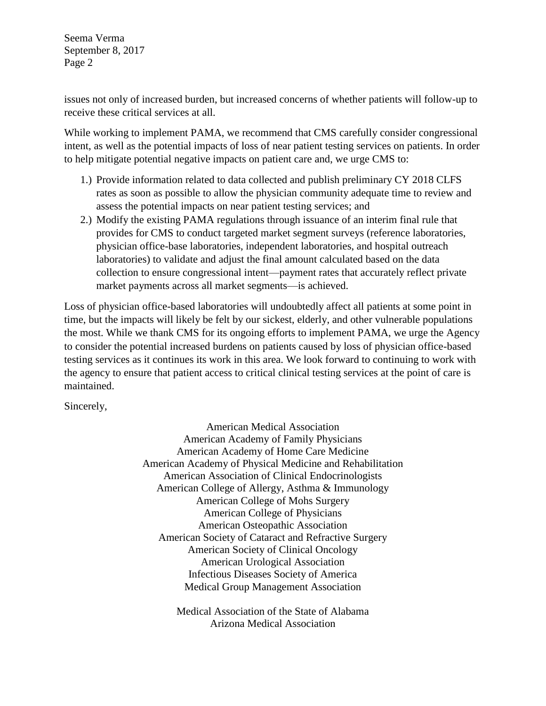Seema Verma September 8, 2017 Page 2

issues not only of increased burden, but increased concerns of whether patients will follow-up to receive these critical services at all.

While working to implement PAMA, we recommend that CMS carefully consider congressional intent, as well as the potential impacts of loss of near patient testing services on patients. In order to help mitigate potential negative impacts on patient care and, we urge CMS to:

- 1.) Provide information related to data collected and publish preliminary CY 2018 CLFS rates as soon as possible to allow the physician community adequate time to review and assess the potential impacts on near patient testing services; and
- 2.) Modify the existing PAMA regulations through issuance of an interim final rule that provides for CMS to conduct targeted market segment surveys (reference laboratories, physician office-base laboratories, independent laboratories, and hospital outreach laboratories) to validate and adjust the final amount calculated based on the data collection to ensure congressional intent—payment rates that accurately reflect private market payments across all market segments—is achieved.

Loss of physician office-based laboratories will undoubtedly affect all patients at some point in time, but the impacts will likely be felt by our sickest, elderly, and other vulnerable populations the most. While we thank CMS for its ongoing efforts to implement PAMA, we urge the Agency to consider the potential increased burdens on patients caused by loss of physician office-based testing services as it continues its work in this area. We look forward to continuing to work with the agency to ensure that patient access to critical clinical testing services at the point of care is maintained.

Sincerely,

American Medical Association American Academy of Family Physicians American Academy of Home Care Medicine American Academy of Physical Medicine and Rehabilitation American Association of Clinical Endocrinologists American College of Allergy, Asthma & Immunology American College of Mohs Surgery American College of Physicians American Osteopathic Association American Society of Cataract and Refractive Surgery American Society of Clinical Oncology American Urological Association Infectious Diseases Society of America Medical Group Management Association

> Medical Association of the State of Alabama Arizona Medical Association